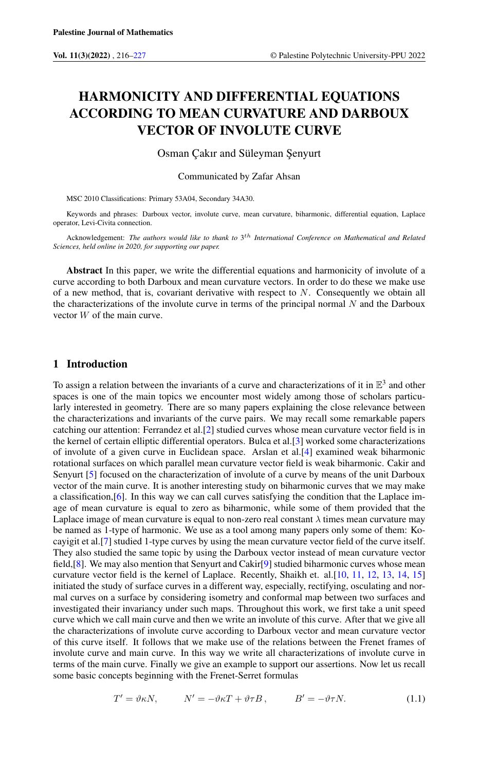# HARMONICITY AND DIFFERENTIAL EQUATIONS ACCORDING TO MEAN CURVATURE AND DARBOUX VECTOR OF INVOLUTE CURVE

Osman Çakır and Süleyman Şenyurt

Communicated by Zafar Ahsan

MSC 2010 Classifications: Primary 53A04, Secondary 34A30.

Keywords and phrases: Darboux vector, involute curve, mean curvature, biharmonic, differential equation, Laplace operator, Levi-Civita connection.

Acknowledgement: The authors would like to thank to 3<sup>th</sup> International Conference on Mathematical and Relatea *Sciences, held online in 2020, for supporting our paper.*

Abstract In this paper, we write the differential equations and harmonicity of involute of a curve according to both Darboux and mean curvature vectors. In order to do these we make use of a new method, that is, covariant derivative with respect to  $N$ . Consequently we obtain all the characterizations of the involute curve in terms of the principal normal  $N$  and the Darboux vector W of the main curve.

## 1 Introduction

To assign a relation between the invariants of a curve and characterizations of it in  $\mathbb{E}^3$  and other spaces is one of the main topics we encounter most widely among those of scholars particularly interested in geometry. There are so many papers explaining the close relevance between the characterizations and invariants of the curve pairs. We may recall some remarkable papers catching our attention: Ferrandez et al.[\[2\]](#page-11-1) studied curves whose mean curvature vector field is in the kernel of certain elliptic differential operators. Bulca et al.[\[3\]](#page-11-2) worked some characterizations of involute of a given curve in Euclidean space. Arslan et al.[\[4\]](#page-11-3) examined weak biharmonic rotational surfaces on which parallel mean curvature vector field is weak biharmonic. Cakir and Senyurt [\[5\]](#page-11-4) focused on the characterization of involute of a curve by means of the unit Darboux vector of the main curve. It is another interesting study on biharmonic curves that we may make a classification,[\[6\]](#page-11-5). In this way we can call curves satisfying the condition that the Laplace image of mean curvature is equal to zero as biharmonic, while some of them provided that the Laplace image of mean curvature is equal to non-zero real constant  $\lambda$  times mean curvature may be named as 1-type of harmonic. We use as a tool among many papers only some of them: Kocayigit et al.[\[7\]](#page-11-6) studied 1-type curves by using the mean curvature vector field of the curve itself. They also studied the same topic by using the Darboux vector instead of mean curvature vector field,[\[8\]](#page-11-7). We may also mention that Senyurt and Cakir[\[9\]](#page-11-8) studied biharmonic curves whose mean curvature vector field is the kernel of Laplace. Recently, Shaikh et. al.[\[10,](#page-11-9) [11,](#page-11-10) [12,](#page-11-11) [13,](#page-11-12) [14,](#page-11-13) [15\]](#page-11-14) initiated the study of surface curves in a different way, especially, rectifying, osculating and normal curves on a surface by considering isometry and conformal map between two surfaces and investigated their invariancy under such maps. Throughout this work, we first take a unit speed curve which we call main curve and then we write an involute of this curve. After that we give all the characterizations of involute curve according to Darboux vector and mean curvature vector of this curve itself. It follows that we make use of the relations between the Frenet frames of involute curve and main curve. In this way we write all characterizations of involute curve in terms of the main curve. Finally we give an example to support our assertions. Now let us recall some basic concepts beginning with the Frenet-Serret formulas

<span id="page-0-0"></span>
$$
T' = \vartheta \kappa N, \qquad N' = -\vartheta \kappa T + \vartheta \tau B, \qquad B' = -\vartheta \tau N. \tag{1.1}
$$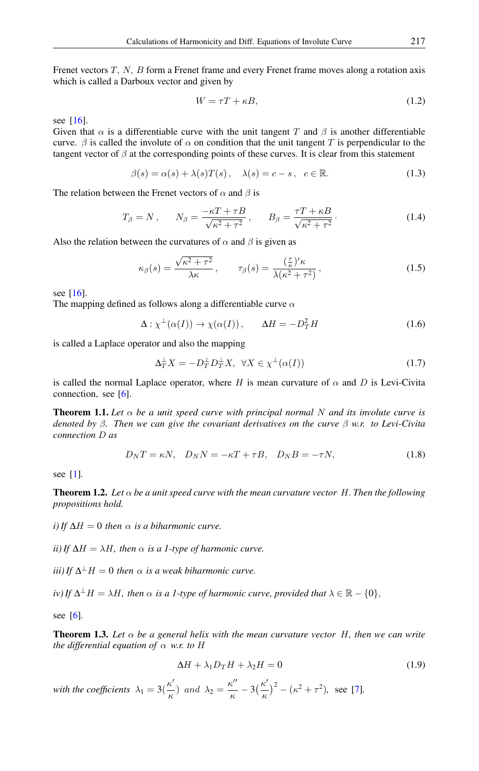Frenet vectors T, N, B form a Frenet frame and every Frenet frame moves along a rotation axis which is called a Darboux vector and given by

$$
W = \tau T + \kappa B,\tag{1.2}
$$

see [\[16\]](#page-11-15).

Given that  $\alpha$  is a differentiable curve with the unit tangent T and  $\beta$  is another differentiable curve.  $\beta$  is called the involute of  $\alpha$  on condition that the unit tangent T is perpendicular to the tangent vector of  $\beta$  at the corresponding points of these curves. It is clear from this statement

$$
\beta(s) = \alpha(s) + \lambda(s)T(s), \quad \lambda(s) = c - s, \quad c \in \mathbb{R}.
$$
 (1.3)

The relation between the Frenet vectors of  $\alpha$  and  $\beta$  is

<span id="page-1-1"></span>
$$
T_{\beta} = N \,, \qquad N_{\beta} = \frac{-\kappa T + \tau B}{\sqrt{\kappa^2 + \tau^2}} \,, \qquad B_{\beta} = \frac{\tau T + \kappa B}{\sqrt{\kappa^2 + \tau^2}} \,. \tag{1.4}
$$

Also the relation between the curvatures of  $\alpha$  and  $\beta$  is given as

<span id="page-1-2"></span>
$$
\kappa_{\beta}(s) = \frac{\sqrt{\kappa^2 + \tau^2}}{\lambda \kappa}, \qquad \tau_{\beta}(s) = \frac{\left(\frac{\tau}{\kappa}\right)^{\prime} \kappa}{\lambda(\kappa^2 + \tau^2)}, \tag{1.5}
$$

see [\[16\]](#page-11-15).

The mapping defined as follows along a differentiable curve  $\alpha$ 

$$
\Delta : \chi^{\perp}(\alpha(I)) \to \chi(\alpha(I)), \qquad \Delta H = -D_T^2 H \tag{1.6}
$$

is called a Laplace operator and also the mapping

$$
\Delta_T^{\perp} X = -D_T^{\perp} D_T^{\perp} X, \ \ \forall X \in \chi^{\perp}(\alpha(I)) \tag{1.7}
$$

is called the normal Laplace operator, where H is mean curvature of  $\alpha$  and D is Levi-Civita connection, see [\[6\]](#page-11-5).

<span id="page-1-0"></span>**Theorem 1.1.** Let  $\alpha$  be a unit speed curve with principal normal N and its involute curve is *denoted by* β*. Then we can give the covariant derivatives on the curve* β *w.r. to Levi-Civita connection* D *as*

<span id="page-1-3"></span>
$$
D_N T = \kappa N, \quad D_N N = -\kappa T + \tau B, \quad D_N B = -\tau N,
$$
\n(1.8)

see [\[1\]](#page-11-16)*.*

<span id="page-1-4"></span>**Theorem 1.2.** Let  $\alpha$  be a unit speed curve with the mean curvature vector H. Then the following *propositions hold.*

*i*) If  $\Delta H = 0$  then  $\alpha$  *is a biharmonic curve.* 

*ii) If*  $\Delta H = \lambda H$ *, then*  $\alpha$  *is a 1-type of harmonic curve.* 

 $(iii)$  If  $\Delta^{\perp}$  H = 0 *then*  $\alpha$  *is a weak biharmonic curve.* 

*iv*) If  $\Delta^{\perp}H = \lambda H$ , then  $\alpha$  is a 1-type of harmonic curve, provided that  $\lambda \in \mathbb{R} - \{0\}$ ,

see [\[6\]](#page-11-5)*.*

**Theorem 1.3.** Let  $\alpha$  be a general helix with the mean curvature vector H, then we can write *the differential equation of* α *w.r. to* H

$$
\Delta H + \lambda_1 D_T H + \lambda_2 H = 0 \tag{1.9}
$$

*with the coefficients*  $\lambda_1 = 3(\frac{\kappa^6}{\kappa^6})$  $\frac{\kappa'}{\kappa}$ ) and  $\lambda_2 = \frac{\kappa''}{\kappa}$  $\frac{\kappa^{\prime\prime}}{\kappa}$  – 3 $\left(\frac{\kappa^{\prime}}{\kappa}\right)$  $(\frac{\kappa^2}{\kappa})^2 - (\kappa^2 + \tau^2)$ , see [\[7\]](#page-11-6).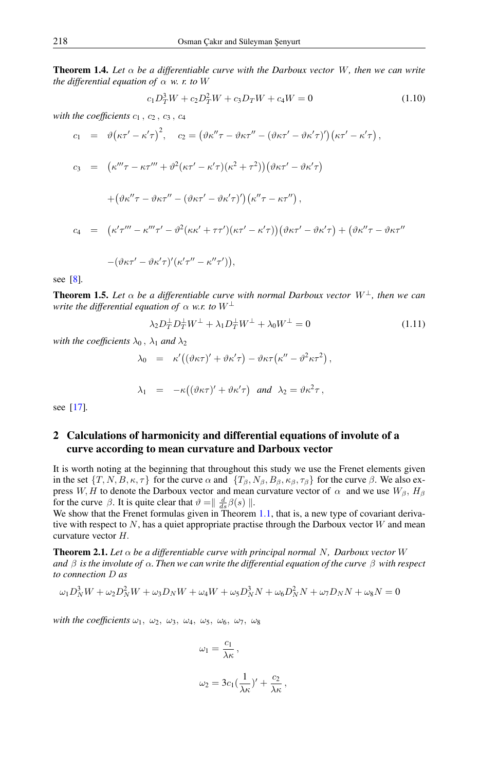**Theorem 1.4.** Let  $\alpha$  be a differentiable curve with the Darboux vector W, then we can write *the differential equation of*  $\alpha$  *w. r. to* W

<span id="page-2-0"></span>
$$
c_1 D_T^3 W + c_2 D_T^2 W + c_3 D_T W + c_4 W = 0 \tag{1.10}
$$

with the coefficients  $c_1$ ,  $c_2$ ,  $c_3$ ,  $c_4$ 

$$
c_1 = \vartheta(\kappa\tau' - \kappa'\tau)^2, \quad c_2 = (\vartheta\kappa''\tau - \vartheta\kappa\tau'' - (\vartheta\kappa\tau' - \vartheta\kappa'\tau)')(\kappa\tau' - \kappa'\tau),
$$
  
\n
$$
c_3 = (\kappa''' \tau - \kappa\tau''' + \vartheta^2(\kappa\tau' - \kappa'\tau)(\kappa^2 + \tau^2))(\vartheta\kappa\tau' - \vartheta\kappa'\tau)
$$
  
\n
$$
+ (\vartheta\kappa''\tau - \vartheta\kappa\tau'' - (\vartheta\kappa\tau' - \vartheta\kappa'\tau)')(\kappa''\tau - \kappa\tau''),
$$
  
\n
$$
c_4 = (\kappa'\tau''' - \kappa''' \tau' - \vartheta^2(\kappa\kappa' + \tau\tau')(\kappa\tau' - \kappa'\tau))(\vartheta\kappa\tau' - \vartheta\kappa'\tau) + (\vartheta\kappa''\tau - \vartheta\kappa\tau'' - (\vartheta\kappa\tau' - \vartheta\kappa'\tau)'(\kappa'\tau'' - \kappa''\tau')),
$$

see [\[8\]](#page-11-7)*.*

**Theorem 1.5.** Let  $\alpha$  be a differentiable curve with normal Darboux vector  $W^{\perp}$ , then we can *write the differential equation of*  $\alpha$  *w.r. to*  $W^{\perp}$ 

<span id="page-2-1"></span>
$$
\lambda_2 D_T^{\perp} D_T^{\perp} W^{\perp} + \lambda_1 D_T^{\perp} W^{\perp} + \lambda_0 W^{\perp} = 0 \tag{1.11}
$$

*with the coefficients*  $\lambda_0$ ,  $\lambda_1$  *and*  $\lambda_2$ 

$$
\lambda_0 = \kappa'((\vartheta \kappa \tau)' + \vartheta \kappa' \tau) - \vartheta \kappa \tau (\kappa'' - \vartheta^2 \kappa \tau^2),
$$
  

$$
\lambda_1 = -\kappa((\vartheta \kappa \tau)' + \vartheta \kappa' \tau) \text{ and } \lambda_2 = \vartheta \kappa^2 \tau,
$$

see [\[17\]](#page-11-17)*.*

# 2 Calculations of harmonicity and differential equations of involute of a curve according to mean curvature and Darboux vector

It is worth noting at the beginning that throughout this study we use the Frenet elements given in the set  $\{T, N, B, \kappa, \tau\}$  for the curve  $\alpha$  and  $\{T_{\beta}, N_{\beta}, B_{\beta}, \kappa_{\beta}, \tau_{\beta}\}$  for the curve  $\beta$ . We also express W, H to denote the Darboux vector and mean curvature vector of  $\alpha$  and we use  $W_{\beta}$ ,  $H_{\beta}$ for the curve  $\beta$ . It is quite clear that  $\vartheta = \frac{d}{ds}\beta(s)$  ||.

We show that the Frenet formulas given in Theorem [1.1,](#page-1-0) that is, a new type of covariant derivative with respect to  $N$ , has a quiet appropriate practise through the Darboux vector  $W$  and mean curvature vector H.

**Theorem 2.1.** Let  $\alpha$  be a differentiable curve with principal normal N, Darboux vector W *and* β *is the involute of* α*. Then we can write the differential equation of the curve* β *with respect to connection* D *as*

$$
\omega_1 D_N^3 W + \omega_2 D_N^2 W + \omega_3 D_N W + \omega_4 W + \omega_5 D_N^3 N + \omega_6 D_N^2 N + \omega_7 D_N N + \omega_8 N = 0
$$

*with the coefficients*  $\omega_1$ ,  $\omega_2$ ,  $\omega_3$ ,  $\omega_4$ ,  $\omega_5$ ,  $\omega_6$ ,  $\omega_7$ ,  $\omega_8$ 

$$
\omega_1 = \frac{c_1}{\lambda \kappa},
$$

$$
\omega_2 = 3c_1(\frac{1}{\lambda \kappa})' + \frac{c_2}{\lambda \kappa},
$$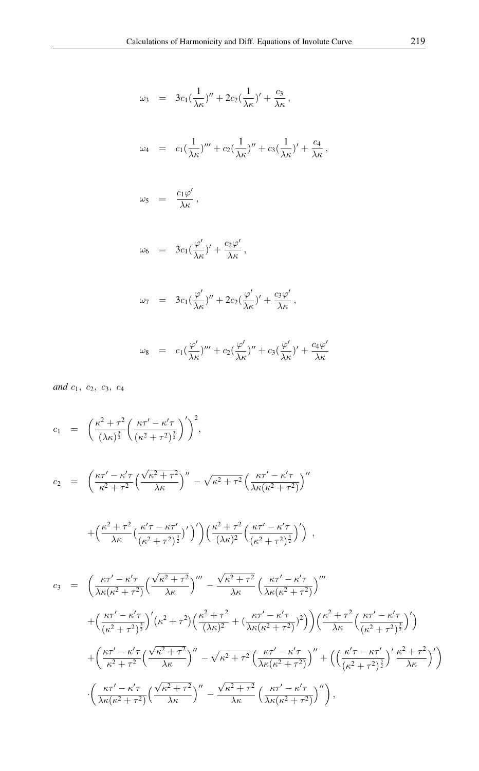$$
\omega_3 = 3c_1(\frac{1}{\lambda \kappa})'' + 2c_2(\frac{1}{\lambda \kappa})' + \frac{c_3}{\lambda \kappa},
$$
  
\n
$$
\omega_4 = c_1(\frac{1}{\lambda \kappa})''' + c_2(\frac{1}{\lambda \kappa})'' + c_3(\frac{1}{\lambda \kappa})' + \frac{c_4}{\lambda \kappa},
$$
  
\n
$$
\omega_5 = \frac{c_1 \varphi'}{\lambda \kappa},
$$
  
\n
$$
\omega_6 = 3c_1(\frac{\varphi'}{\lambda \kappa})' + \frac{c_2 \varphi'}{\lambda \kappa},
$$
  
\n
$$
\omega_7 = 3c_1(\frac{\varphi'}{\lambda \kappa})'' + 2c_2(\frac{\varphi'}{\lambda \kappa})' + \frac{c_3 \varphi'}{\lambda \kappa},
$$
  
\n
$$
\omega_8 = c_1(\frac{\varphi'}{\lambda \kappa})''' + c_2(\frac{\varphi'}{\lambda \kappa})'' + c_3(\frac{\varphi'}{\lambda \kappa})' + \frac{c_4 \varphi'}{\lambda \kappa}
$$

*and*  $c_1$ ,  $c_2$ ,  $c_3$ ,  $c_4$ 

$$
c_1 = \left(\frac{\kappa^2 + \tau^2}{(\lambda \kappa)^{\frac{3}{2}}} \left(\frac{\kappa \tau' - \kappa' \tau}{(\kappa^2 + \tau^2)^{\frac{3}{2}}} \right)'\right)^2,
$$

$$
c_2 = \left(\frac{\kappa\tau' - \kappa'\tau}{\kappa^2 + \tau^2} \left(\frac{\sqrt{\kappa^2 + \tau^2}}{\lambda\kappa}\right)'' - \sqrt{\kappa^2 + \tau^2} \left(\frac{\kappa\tau' - \kappa'\tau}{\lambda\kappa(\kappa^2 + \tau^2)}\right)''\right)
$$

$$
+\left(\frac{\kappa^2+\tau^2}{\lambda\kappa}\left(\frac{\kappa'\tau-\kappa\tau'}{(\kappa^2+\tau^2)^{\frac{3}{2}}}\right)'\right)\left(\frac{\kappa^2+\tau^2}{(\lambda\kappa)^2}\left(\frac{\kappa\tau'-\kappa'\tau}{(\kappa^2+\tau^2)^{\frac{3}{2}}}\right)'\right) ,
$$

$$
c_3 = \left(\frac{\kappa\tau'-\kappa'\tau}{\lambda\kappa(\kappa^2+\tau^2)}\left(\frac{\sqrt{\kappa^2+\tau^2}}{\lambda\kappa}\right)'''-\frac{\sqrt{\kappa^2+\tau^2}}{\lambda\kappa}\left(\frac{\kappa\tau'-\kappa'\tau}{\lambda\kappa(\kappa^2+\tau^2)}\right)'''\right) + \left(\frac{\kappa\tau'-\kappa'\tau}{(\kappa^2+\tau^2)^{\frac{3}{2}}}\right)'(\kappa^2+\tau^2)\left(\frac{\kappa^2+\tau^2}{(\lambda\kappa)^2}+(\frac{\kappa\tau'-\kappa'\tau}{\lambda\kappa(\kappa^2+\tau^2})^2)\right)\left(\frac{\kappa^2+\tau^2}{\lambda\kappa}\left(\frac{\kappa\tau'-\kappa'\tau}{(\kappa^2+\tau^2)^{\frac{3}{2}}}\right)'\right) + \left(\frac{\kappa\tau'-\kappa'\tau}{\kappa^2+\tau^2}\left(\frac{\sqrt{\kappa^2+\tau^2}}{\lambda\kappa}\right)''-\sqrt{\kappa^2+\tau^2}\left(\frac{\kappa\tau'-\kappa'\tau}{\lambda\kappa(\kappa^2+\tau^2)}\right)''+\left(\left(\frac{\kappa'\tau-\kappa\tau'}{(\kappa^2+\tau^2)^{\frac{3}{2}}}\right)'\frac{\kappa^2+\tau^2}{\lambda\kappa}\right)'\right) - \left(\frac{\kappa\tau'-\kappa'\tau}{\lambda\kappa(\kappa^2+\tau^2)}\left(\frac{\sqrt{\kappa^2+\tau^2}}{\lambda\kappa}\right)''-\frac{\sqrt{\kappa^2+\tau^2}}{\lambda\kappa}\left(\frac{\kappa\tau'-\kappa'\tau}{\lambda\kappa(\kappa^2+\tau^2)}\right)''\right),
$$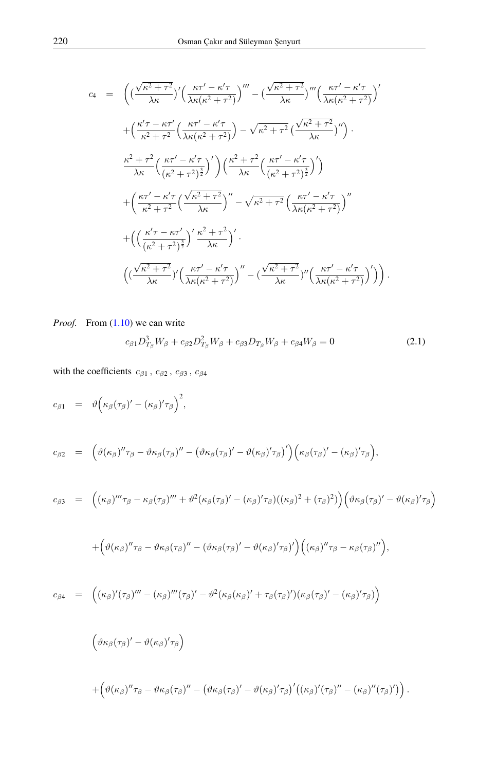$$
c_4 = \left( \left( \frac{\sqrt{\kappa^2 + \tau^2}}{\lambda \kappa} \right)' \left( \frac{\kappa \tau' - \kappa' \tau}{\lambda \kappa (\kappa^2 + \tau^2)} \right)''' - \left( \frac{\sqrt{\kappa^2 + \tau^2}}{\lambda \kappa} \right)''' \left( \frac{\kappa \tau' - \kappa' \tau}{\lambda \kappa (\kappa^2 + \tau^2)} \right)'
$$
  
+ 
$$
\left( \frac{\kappa' \tau - \kappa \tau'}{\kappa^2 + \tau^2} \left( \frac{\kappa \tau' - \kappa' \tau}{\lambda \kappa (\kappa^2 + \tau^2)} \right) - \sqrt{\kappa^2 + \tau^2} \left( \frac{\sqrt{\kappa^2 + \tau^2}}{\lambda \kappa} \right)'' \right) .
$$
  

$$
\frac{\kappa^2 + \tau^2}{\lambda \kappa} \left( \frac{\kappa \tau' - \kappa' \tau}{(\kappa^2 + \tau^2)^{\frac{3}{2}}} \right)' \left( \frac{\kappa^2 + \tau^2}{\lambda \kappa} \left( \frac{\kappa \tau' - \kappa' \tau}{(\kappa^2 + \tau^2)^{\frac{3}{2}}} \right)' \right)
$$
  
+ 
$$
\left( \frac{\kappa \tau' - \kappa' \tau}{\kappa^2 + \tau^2} \left( \frac{\sqrt{\kappa^2 + \tau^2}}{\lambda \kappa} \right)'' - \sqrt{\kappa^2 + \tau^2} \left( \frac{\kappa \tau' - \kappa' \tau}{\lambda \kappa (\kappa^2 + \tau^2)} \right)'' \right)
$$
  
+ 
$$
\left( \left( \frac{\kappa' \tau - \kappa \tau'}{(\kappa^2 + \tau^2)^{\frac{3}{2}}} \right)' \frac{\kappa^2 + \tau^2}{\lambda \kappa} \right)' .
$$
  

$$
\left( \left( \frac{\sqrt{\kappa^2 + \tau^2}}{\lambda \kappa} \right)' \left( \frac{\kappa \tau' - \kappa' \tau}{\lambda \kappa (\kappa^2 + \tau^2)} \right)'' - \left( \frac{\sqrt{\kappa^2 + \tau^2}}{\lambda \kappa} \right)'' \left( \frac{\kappa \tau' - \kappa' \tau}{\lambda \kappa (\kappa^2 + \tau^2)} \right)' \right) .
$$

*Proof.* From  $(1.10)$  we can write

<span id="page-4-0"></span>
$$
c_{\beta 1} D_{T_{\beta}}^3 W_{\beta} + c_{\beta 2} D_{T_{\beta}}^2 W_{\beta} + c_{\beta 3} D_{T_{\beta}} W_{\beta} + c_{\beta 4} W_{\beta} = 0 \tag{2.1}
$$

with the coefficients  $c_{\beta 1}$ ,  $c_{\beta 2}$ ,  $c_{\beta 3}$ ,  $c_{\beta 4}$ 

$$
c_{\beta 1} = \vartheta \Big( \kappa_{\beta} (\tau_{\beta})' - (\kappa_{\beta})' \tau_{\beta} \Big)^2,
$$
  
\n
$$
c_{\beta 2} = \Big( \vartheta (\kappa_{\beta})'' \tau_{\beta} - \vartheta \kappa_{\beta} (\tau_{\beta})'' - (\vartheta \kappa_{\beta} (\tau_{\beta})' - \vartheta (\kappa_{\beta})' \tau_{\beta})' \Big) \Big( \kappa_{\beta} (\tau_{\beta})' - (\kappa_{\beta})' \tau_{\beta} \Big),
$$
  
\n
$$
c_{\beta 3} = \Big( (\kappa_{\beta})''' \tau_{\beta} - \kappa_{\beta} (\tau_{\beta})''' + \vartheta^2 (\kappa_{\beta} (\tau_{\beta})' - (\kappa_{\beta})' \tau_{\beta}) ((\kappa_{\beta})^2 + (\tau_{\beta})^2) \Big) \Big( \vartheta \kappa_{\beta} (\tau_{\beta})' - \vartheta (\kappa_{\beta})' \tau_{\beta} \Big)
$$

$$
\mathcal{L}^{\mathcal{L}}(\mathcal{L}^{\mathcal{L}}(\mathcal{L}^{\mathcal{L}}))
$$

$$
+\Big(\vartheta(\kappa_\beta)''\tau_\beta-\vartheta\kappa_\beta(\tau_\beta)''-(\vartheta\kappa_\beta(\tau_\beta)'-\vartheta(\kappa_\beta)'\tau_\beta)'\Big)\Big((\kappa_\beta)''\tau_\beta-\kappa_\beta(\tau_\beta)''\Big),
$$

$$
c_{\beta 4} = ((\kappa_{\beta})'(\tau_{\beta})''' - (\kappa_{\beta})'''(\tau_{\beta})' - \vartheta^2(\kappa_{\beta}(\kappa_{\beta})' + \tau_{\beta}(\tau_{\beta})')(\kappa_{\beta}(\tau_{\beta})' - (\kappa_{\beta})'\tau_{\beta})
$$

$$
\begin{array}{l} \displaystyle \left(\vartheta\kappa_{\beta}(\tau_{\beta})'-\vartheta(\kappa_{\beta})'\tau_{\beta}\right)\\\\\displaystyle \qquad+\left(\vartheta(\kappa_{\beta})''\tau_{\beta}-\vartheta\kappa_{\beta}(\tau_{\beta})''-\left(\vartheta\kappa_{\beta}(\tau_{\beta})'-\vartheta(\kappa_{\beta})'\tau_{\beta}\right)'((\kappa_{\beta})'(\tau_{\beta})''-(\kappa_{\beta})''(\tau_{\beta})')\right).\end{array}
$$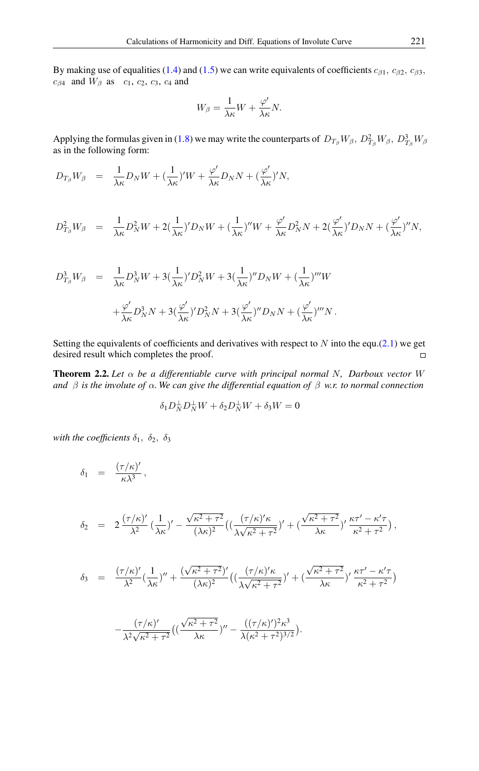By making use of equalities [\(1.4\)](#page-1-1) and [\(1.5\)](#page-1-2) we can write equivalents of coefficients  $c_{\beta 1}$ ,  $c_{\beta 2}$ ,  $c_{\beta 3}$ ,  $c_{\beta 4}$  and  $W_{\beta}$  as  $c_1, c_2, c_3, c_4$  and

$$
W_{\beta} = \frac{1}{\lambda \kappa} W + \frac{\varphi'}{\lambda \kappa} N.
$$

Applying the formulas given in [\(1.8\)](#page-1-3) we may write the counterparts of  $D_{T_{\beta}}W_{\beta}$ ,  $D_{T_{\beta}}^2W_{\beta}$ ,  $D_{T_{\beta}}^3W_{\beta}$ as in the following form:

$$
D_{T_{\beta}}W_{\beta} = \frac{1}{\lambda \kappa} D_N W + (\frac{1}{\lambda \kappa})'W + \frac{\varphi'}{\lambda \kappa} D_N N + (\frac{\varphi'}{\lambda \kappa})'N,
$$

$$
D_{T_{\beta}}^2 W_{\beta} = \frac{1}{\lambda \kappa} D_N^2 W + 2(\frac{1}{\lambda \kappa})' D_N W + (\frac{1}{\lambda \kappa})'' W + \frac{\varphi'}{\lambda \kappa} D_N^2 N + 2(\frac{\varphi'}{\lambda \kappa})' D_N N + (\frac{\varphi'}{\lambda \kappa})'' N,
$$

$$
D_{T_{\beta}}^3 W_{\beta} = \frac{1}{\lambda \kappa} D_N^3 W + 3 \left( \frac{1}{\lambda \kappa} \right)^{\prime} D_N^2 W + 3 \left( \frac{1}{\lambda \kappa} \right)^{\prime \prime} D_N W + \left( \frac{1}{\lambda \kappa} \right)^{\prime \prime \prime} W
$$
  
+ 
$$
\frac{\varphi^{\prime}}{\lambda \kappa} D_N^3 N + 3 \left( \frac{\varphi^{\prime}}{\lambda \kappa} \right)^{\prime} D_N^2 N + 3 \left( \frac{\varphi^{\prime}}{\lambda \kappa} \right)^{\prime \prime \prime} D_N N + \left( \frac{\varphi^{\prime}}{\lambda \kappa} \right)^{\prime \prime \prime} N.
$$

Setting the equivalents of coefficients and derivatives with respect to  $N$  into the equ.[\(2.1\)](#page-4-0) we get desired result which completes the proof.  $\Box$ 

Theorem 2.2. *Let* α *be a differentiable curve with principal normal* N*, Darboux vector* W *and*  $\beta$  *is the involute of*  $\alpha$ *. We can give the differential equation of*  $\beta$  *w.r. to normal connection* 

$$
\delta_1 D_N^{\perp} D_N^{\perp} W + \delta_2 D_N^{\perp} W + \delta_3 W = 0
$$

*with the coefficients*  $\delta_1$ ,  $\delta_2$ ,  $\delta_3$ 

$$
\delta_1 = \frac{(\tau/\kappa)'}{\kappa \lambda^3},
$$
\n
$$
\delta_2 = 2 \frac{(\tau/\kappa)'}{\lambda^2} \left(\frac{1}{\lambda \kappa}\right)' - \frac{\sqrt{\kappa^2 + \tau^2}}{(\lambda \kappa)^2} \left(\left(\frac{(\tau/\kappa)'\kappa}{\lambda \sqrt{\kappa^2 + \tau^2}}\right)' + \left(\frac{\sqrt{\kappa^2 + \tau^2}}{\lambda \kappa}\right)' \frac{\kappa \tau' - \kappa' \tau}{\kappa^2 + \tau^2}\right),
$$
\n
$$
\delta_3 = \frac{(\tau/\kappa)'}{\lambda^2} \left(\frac{1}{\lambda \kappa}\right)'' + \frac{(\sqrt{\kappa^2 + \tau^2})'}{(\lambda \kappa)^2} \left(\left(\frac{(\tau/\kappa)'\kappa}{\lambda \sqrt{\kappa^2 + \tau^2}}\right)' + \left(\frac{\sqrt{\kappa^2 + \tau^2}}{\lambda \kappa}\right)' \frac{\kappa \tau' - \kappa' \tau}{\kappa^2 + \tau^2}\right)
$$
\n
$$
-\frac{(\tau/\kappa)'}{\lambda^2 \sqrt{\kappa^2 + \tau^2}} \left(\left(\frac{\sqrt{\kappa^2 + \tau^2}}{\lambda \kappa}\right)'' - \frac{((\tau/\kappa)')^2 \kappa^3}{\lambda (\kappa^2 + \tau^2)^{3/2}}\right).
$$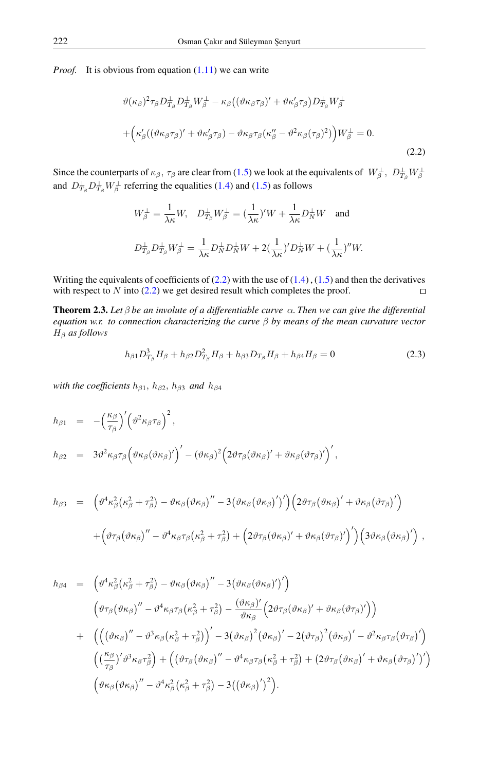*Proof.* It is obvious from equation [\(1.11\)](#page-2-1) we can write

<span id="page-6-0"></span>
$$
\vartheta(\kappa_{\beta})^{2}\tau_{\beta}D_{T_{\beta}}^{\perp}D_{T_{\beta}}^{\perp}W_{\beta}^{\perp} - \kappa_{\beta}((\vartheta\kappa_{\beta}\tau_{\beta})' + \vartheta\kappa_{\beta}'\tau_{\beta})D_{T_{\beta}}^{\perp}W_{\beta}^{\perp}
$$

$$
+ \left(\kappa_{\beta}'((\vartheta\kappa_{\beta}\tau_{\beta})' + \vartheta\kappa_{\beta}'\tau_{\beta}) - \vartheta\kappa_{\beta}\tau_{\beta}(\kappa_{\beta}'' - \vartheta^{2}\kappa_{\beta}(\tau_{\beta})^{2})\right)W_{\beta}^{\perp} = 0.
$$
\n(2.2)

Since the counterparts of  $\kappa_\beta$ ,  $\tau_\beta$  are clear from [\(1.5\)](#page-1-2) we look at the equivalents of  $W_\beta^\perp$ ,  $D_{T_\beta}^\perp W_\beta^\perp$ and  $D_{T_{\beta}}^{\perp}D_{T_{\beta}}^{\perp}W_{\beta}^{\perp}$  referring the equalities [\(1.4\)](#page-1-1) and [\(1.5\)](#page-1-2) as follows

$$
W_{\beta}^{\perp} = \frac{1}{\lambda \kappa} W, \quad D_{T_{\beta}}^{\perp} W_{\beta}^{\perp} = \left(\frac{1}{\lambda \kappa}\right)' W + \frac{1}{\lambda \kappa} D_{N}^{\perp} W \quad \text{and}
$$
  

$$
D_{T_{\beta}}^{\perp} D_{T_{\beta}}^{\perp} W_{\beta}^{\perp} = \frac{1}{\lambda \kappa} D_{N}^{\perp} D_{N}^{\perp} W + 2 \left(\frac{1}{\lambda \kappa}\right)' D_{N}^{\perp} W + \left(\frac{1}{\lambda \kappa}\right)'' W.
$$

Writing the equivalents of coefficients of  $(2.2)$  with the use of  $(1.4)$ ,  $(1.5)$  and then the derivatives with respect to  $N$  into [\(2.2\)](#page-6-0) we get desired result which completes the proof.  $\Box$ 

**Theorem 2.3.** Let  $\beta$  be an involute of a differentiable curve  $\alpha$ . Then we can give the differential *equation w.r. to connection characterizing the curve* β *by means of the mean curvature vector* H<sup>β</sup> *as follows*

<span id="page-6-1"></span>
$$
h_{\beta 1} D_{T_{\beta}}^3 H_{\beta} + h_{\beta 2} D_{T_{\beta}}^2 H_{\beta} + h_{\beta 3} D_{T_{\beta}} H_{\beta} + h_{\beta 4} H_{\beta} = 0
$$
\n(2.3)

*with the coefficients*  $h_{\beta1}$ ,  $h_{\beta2}$ ,  $h_{\beta3}$  *and*  $h_{\beta4}$ 

$$
h_{\beta 1} = -\left(\frac{\kappa_{\beta}}{\tau_{\beta}}\right)' \left(\vartheta^2 \kappa_{\beta} \tau_{\beta}\right)^2,
$$
  
\n
$$
h_{\beta 2} = 3\vartheta^2 \kappa_{\beta} \tau_{\beta} \left(\vartheta \kappa_{\beta} (\vartheta \kappa_{\beta})'\right)' - (\vartheta \kappa_{\beta})^2 \left(2\vartheta \tau_{\beta} (\vartheta \kappa_{\beta})' + \vartheta \kappa_{\beta} (\vartheta \tau_{\beta})'\right)',
$$

$$
h_{\beta 3} = \left( \vartheta^4 \kappa_{\beta}^2 (\kappa_{\beta}^2 + \tau_{\beta}^2) - \vartheta \kappa_{\beta} (\vartheta \kappa_{\beta})'' - 3 (\vartheta \kappa_{\beta} (\vartheta \kappa_{\beta})')' \right) \left( 2 \vartheta \tau_{\beta} (\vartheta \kappa_{\beta})' + \vartheta \kappa_{\beta} (\vartheta \tau_{\beta})' \right) + \left( \vartheta \tau_{\beta} (\vartheta \kappa_{\beta})'' - \vartheta^4 \kappa_{\beta} \tau_{\beta} (\kappa_{\beta}^2 + \tau_{\beta}^2) + \left( 2 \vartheta \tau_{\beta} (\vartheta \kappa_{\beta})' + \vartheta \kappa_{\beta} (\vartheta \tau_{\beta})' \right)' \right) \left( 3 \vartheta \kappa_{\beta} (\vartheta \kappa_{\beta})' \right) ,
$$

$$
h_{\beta 4} = \left( \vartheta^4 \kappa_{\beta}^2 (\kappa_{\beta}^2 + \tau_{\beta}^2) - \vartheta \kappa_{\beta} (\vartheta \kappa_{\beta})'' - 3 (\vartheta \kappa_{\beta} (\vartheta \kappa_{\beta})')' \right)
$$
  

$$
\left( \vartheta \tau_{\beta} (\vartheta \kappa_{\beta})'' - \vartheta^4 \kappa_{\beta} \tau_{\beta} (\kappa_{\beta}^2 + \tau_{\beta}^2) - \frac{(\vartheta \kappa_{\beta})'}{\vartheta \kappa_{\beta}} (2 \vartheta \tau_{\beta} (\vartheta \kappa_{\beta})' + \vartheta \kappa_{\beta} (\vartheta \tau_{\beta})') \right)
$$
  

$$
+ \left( \left( (\vartheta \kappa_{\beta})'' - \vartheta^3 \kappa_{\beta} (\kappa_{\beta}^2 + \tau_{\beta}^2) \right)' - 3 (\vartheta \kappa_{\beta})^2 (\vartheta \kappa_{\beta})' - 2 (\vartheta \tau_{\beta})^2 (\vartheta \kappa_{\beta})' - \vartheta^2 \kappa_{\beta} \tau_{\beta} (\vartheta \tau_{\beta})' \right)
$$
  

$$
\left( (\frac{\kappa_{\beta}}{\tau_{\beta}})' \vartheta^3 \kappa_{\beta} \tau_{\beta}^2 \right) + \left( (\vartheta \tau_{\beta} (\vartheta \kappa_{\beta})'' - \vartheta^4 \kappa_{\beta} \tau_{\beta} (\kappa_{\beta}^2 + \tau_{\beta}^2) + (2 \vartheta \tau_{\beta} (\vartheta \kappa_{\beta})' + \vartheta \kappa_{\beta} (\vartheta \tau_{\beta})')' \right)
$$
  

$$
(\vartheta \kappa_{\beta} (\vartheta \kappa_{\beta})'' - \vartheta^4 \kappa_{\beta}^2 (\kappa_{\beta}^2 + \tau_{\beta}^2) - 3 ((\vartheta \kappa_{\beta})')^2).
$$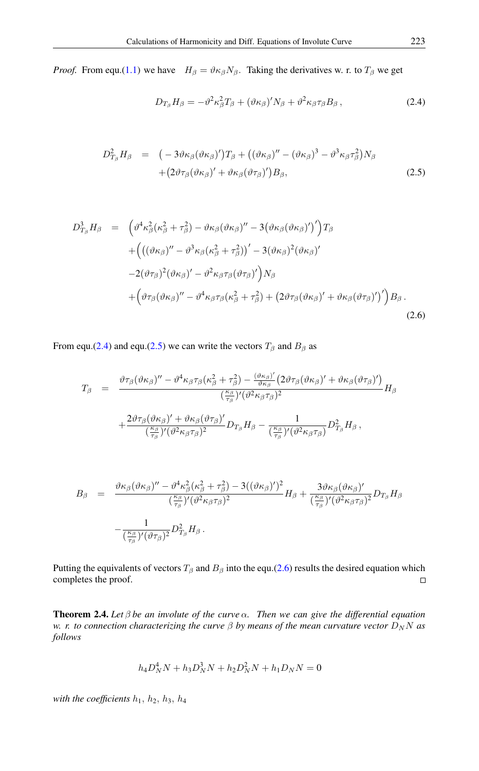*Proof.* From equ.[\(1.1\)](#page-0-0) we have  $H_\beta = \vartheta \kappa_\beta N_\beta$ . Taking the derivatives w. r. to  $T_\beta$  we get

<span id="page-7-0"></span>
$$
D_{T_{\beta}}H_{\beta} = -\vartheta^2 \kappa_{\beta}^2 T_{\beta} + (\vartheta \kappa_{\beta})^{\prime} N_{\beta} + \vartheta^2 \kappa_{\beta} \tau_{\beta} B_{\beta} , \qquad (2.4)
$$

<span id="page-7-1"></span>
$$
D_{T_{\beta}}^2 H_{\beta} = (-3\vartheta\kappa_{\beta}(\vartheta\kappa_{\beta})')T_{\beta} + ((\vartheta\kappa_{\beta})'' - (\vartheta\kappa_{\beta})^3 - \vartheta^3\kappa_{\beta}\tau_{\beta}^2)N_{\beta} + (2\vartheta\tau_{\beta}(\vartheta\kappa_{\beta})' + \vartheta\kappa_{\beta}(\vartheta\tau_{\beta})')B_{\beta},
$$
\n(2.5)

<span id="page-7-2"></span>
$$
D_{T_{\beta}}^3 H_{\beta} = \left( \vartheta^4 \kappa_{\beta}^2 (\kappa_{\beta}^2 + \tau_{\beta}^2) - \vartheta \kappa_{\beta} (\vartheta \kappa_{\beta})'' - 3 (\vartheta \kappa_{\beta} (\vartheta \kappa_{\beta})')' \right) T_{\beta}
$$
  
+ 
$$
\left( \left( (\vartheta \kappa_{\beta})'' - \vartheta^3 \kappa_{\beta} (\kappa_{\beta}^2 + \tau_{\beta}^2) \right)' - 3 (\vartheta \kappa_{\beta})^2 (\vartheta \kappa_{\beta})'
$$

$$
- 2 (\vartheta \tau_{\beta})^2 (\vartheta \kappa_{\beta})' - \vartheta^2 \kappa_{\beta} \tau_{\beta} (\vartheta \tau_{\beta})' \right) N_{\beta}
$$

$$
+ \left( \vartheta \tau_{\beta} (\vartheta \kappa_{\beta})'' - \vartheta^4 \kappa_{\beta} \tau_{\beta} (\kappa_{\beta}^2 + \tau_{\beta}^2) + \left( 2 \vartheta \tau_{\beta} (\vartheta \kappa_{\beta})' + \vartheta \kappa_{\beta} (\vartheta \tau_{\beta})' \right)' \right) B_{\beta}.
$$

$$
(2.6)
$$

From equ.[\(2.4\)](#page-7-0) and equ.[\(2.5\)](#page-7-1) we can write the vectors  $T_\beta$  and  $B_\beta$  as

$$
T_{\beta} = \frac{\vartheta \tau_{\beta} (\vartheta \kappa_{\beta})'' - \vartheta^4 \kappa_{\beta} \tau_{\beta} (\kappa_{\beta}^2 + \tau_{\beta}^2) - \frac{(\vartheta \kappa_{\beta})'}{\vartheta \kappa_{\beta}} (2 \vartheta \tau_{\beta} (\vartheta \kappa_{\beta})' + \vartheta \kappa_{\beta} (\vartheta \tau_{\beta})')}{(\frac{\kappa_{\beta}}{\tau_{\beta}})' (\vartheta^2 \kappa_{\beta} \tau_{\beta})^2} H_{\beta} + \frac{2 \vartheta \tau_{\beta} (\vartheta \kappa_{\beta})' + \vartheta \kappa_{\beta} (\vartheta \tau_{\beta})'}{(\frac{\kappa_{\beta}}{\tau_{\beta}})' (\vartheta^2 \kappa_{\beta} \tau_{\beta})^2} D_{T_{\beta}} H_{\beta} - \frac{1}{(\frac{\kappa_{\beta}}{\tau_{\beta}})' (\vartheta^2 \kappa_{\beta} \tau_{\beta})} D_{T_{\beta}}^2 H_{\beta},
$$

$$
B_{\beta} = \frac{\vartheta \kappa_{\beta} (\vartheta \kappa_{\beta})'' - \vartheta^4 \kappa_{\beta}^2 (\kappa_{\beta}^2 + \tau_{\beta}^2) - 3((\vartheta \kappa_{\beta})')^2}{(\frac{\kappa_{\beta}}{\tau_{\beta}})' (\vartheta^2 \kappa_{\beta} \tau_{\beta})^2} H_{\beta} + \frac{3 \vartheta \kappa_{\beta} (\vartheta \kappa_{\beta})'}{(\frac{\kappa_{\beta}}{\tau_{\beta}})' (\vartheta^2 \kappa_{\beta} \tau_{\beta})^2} D_{T_{\beta}} H_{\beta} -\frac{1}{(\frac{\kappa_{\beta}}{\tau_{\beta}})' (\vartheta \tau_{\beta})^2} D_{T_{\beta}}^2 H_{\beta}.
$$

Putting the equivalents of vectors  $T_\beta$  and  $B_\beta$  into the equ.[\(2.6\)](#page-7-2) results the desired equation which completes the proof.  $\Box$ 

Theorem 2.4. *Let* β *be an involute of the curve* α*. Then we can give the differential equation w. r. to connection characterizing the curve*  $\beta$  *by means of the mean curvature vector*  $D_N N$  *as follows*

$$
h_4 D_N^4 N + h_3 D_N^3 N + h_2 D_N^2 N + h_1 D_N N = 0
$$

*with the coefficients*  $h_1$ ,  $h_2$ ,  $h_3$ ,  $h_4$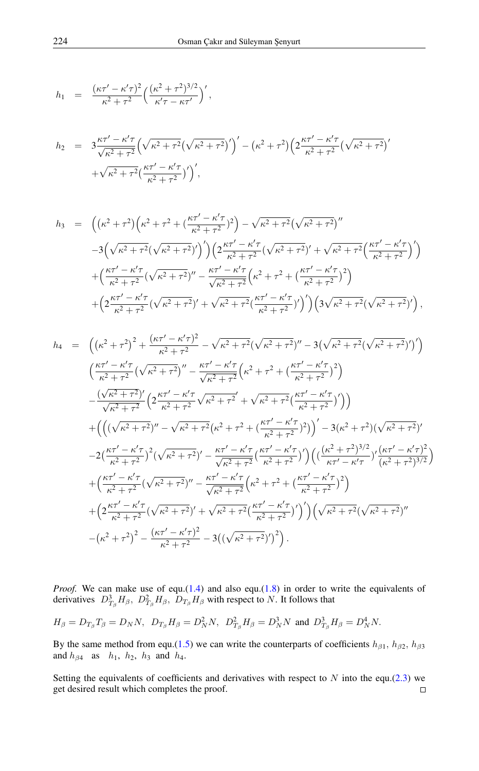$$
h_1 = \frac{(\kappa \tau' - \kappa' \tau)^2}{\kappa^2 + \tau^2} \left( \frac{(\kappa^2 + \tau^2)^{3/2}}{\kappa' \tau - \kappa \tau'} \right)',
$$

$$
h_2 = 3\frac{\kappa\tau' - \kappa'\tau}{\sqrt{\kappa^2 + \tau^2}} \left(\sqrt{\kappa^2 + \tau^2} (\sqrt{\kappa^2 + \tau^2})'\right)' - \left(\kappa^2 + \tau^2\right) \left(2\frac{\kappa\tau' - \kappa'\tau}{\kappa^2 + \tau^2} (\sqrt{\kappa^2 + \tau^2})'\right) + \sqrt{\kappa^2 + \tau^2} \left(\frac{\kappa\tau' - \kappa'\tau}{\kappa^2 + \tau^2}\right)',
$$

$$
h_3 = \left( \left( \kappa^2 + \tau^2 \right) \left( \kappa^2 + \tau^2 + \left( \frac{\kappa \tau' - \kappa' \tau}{\kappa^2 + \tau^2} \right)^2 \right) - \sqrt{\kappa^2 + \tau^2} \left( \sqrt{\kappa^2 + \tau^2} \right)^{\prime \prime} - 3 \left( \sqrt{\kappa^2 + \tau^2} \left( \sqrt{\kappa^2 + \tau^2} \right)^{\prime} \right) \left( 2 \frac{\kappa \tau' - \kappa' \tau}{\kappa^2 + \tau^2} \left( \sqrt{\kappa^2 + \tau^2} \right)^{\prime} + \sqrt{\kappa^2 + \tau^2} \left( \frac{\kappa \tau' - \kappa' \tau}{\kappa^2 + \tau^2} \right)^{\prime} \right) + \left( \frac{\kappa \tau' - \kappa' \tau}{\kappa^2 + \tau^2} \left( \sqrt{\kappa^2 + \tau^2} \right)^{\prime \prime} - \frac{\kappa \tau' - \kappa' \tau}{\sqrt{\kappa^2 + \tau^2}} \left( \kappa^2 + \tau^2 + \left( \frac{\kappa \tau' - \kappa' \tau}{\kappa^2 + \tau^2} \right)^2 \right) + \left( 2 \frac{\kappa \tau' - \kappa' \tau}{\kappa^2 + \tau^2} \left( \sqrt{\kappa^2 + \tau^2} \right)^{\prime} + \sqrt{\kappa^2 + \tau^2} \left( \frac{\kappa \tau' - \kappa' \tau}{\kappa^2 + \tau^2} \right)^{\prime} \right) \left( 3 \sqrt{\kappa^2 + \tau^2} \left( \sqrt{\kappa^2 + \tau^2} \right)^{\prime} \right),
$$

$$
h_{4} = \left( \left( \kappa^{2} + \tau^{2} \right)^{2} + \frac{(\kappa \tau' - \kappa' \tau)^{2}}{\kappa^{2} + \tau^{2}} - \sqrt{\kappa^{2} + \tau^{2}} (\sqrt{\kappa^{2} + \tau^{2}})^{''} - 3 \left( \sqrt{\kappa^{2} + \tau^{2}} (\sqrt{\kappa^{2} + \tau^{2}})^{'} \right) \right) \n\left( \frac{\kappa \tau' - \kappa' \tau}{\kappa^{2} + \tau^{2}} (\sqrt{\kappa^{2} + \tau^{2}})^{''} - \frac{\kappa \tau' - \kappa' \tau}{\sqrt{\kappa^{2} + \tau^{2}}} \left( \kappa^{2} + \tau^{2} + \left( \frac{\kappa \tau' - \kappa' \tau}{\kappa^{2} + \tau^{2}} \right)^{2} \right) \right) \n- \frac{(\sqrt{\kappa^{2} + \tau^{2}})^{'}}{\sqrt{\kappa^{2} + \tau^{2}}} \left( 2 \frac{\kappa \tau' - \kappa' \tau}{\kappa^{2} + \tau^{2}} \sqrt{\kappa^{2} + \tau^{2}} + \sqrt{\kappa^{2} + \tau^{2}} (\frac{\kappa \tau' - \kappa' \tau}{\kappa^{2} + \tau^{2}})^{'} \right) \right) \n+ \left( \left( (\sqrt{\kappa^{2} + \tau^{2}})^{''} - \sqrt{\kappa^{2} + \tau^{2}} (\kappa^{2} + \tau^{2} + (\frac{\kappa \tau' - \kappa' \tau}{\kappa^{2} + \tau^{2}})^{2}) \right)^{'} - 3(\kappa^{2} + \tau^{2}) (\sqrt{\kappa^{2} + \tau^{2}})^{'} \right) \n- 2(\frac{\kappa \tau' - \kappa' \tau}{\kappa^{2} + \tau^{2}})^{2} (\sqrt{\kappa^{2} + \tau^{2}})^{'} - \frac{\kappa \tau' - \kappa' \tau}{\sqrt{\kappa^{2} + \tau^{2}}} (\frac{\kappa \tau' - \kappa' \tau}{\kappa^{2} + \tau^{2}})^{'} \right) \left( (\frac{(\kappa^{2} + \tau^{2})^{3/2}}{\kappa \tau' - \kappa' \tau} )^{'} (\kappa^{2} + \tau^{2})^{3/2} \right) \n+ (\frac{\kappa \tau' - \kappa' \tau}{\kappa^{2} + \
$$

*Proof.* We can make use of equ. $(1.4)$  and also equ. $(1.8)$  in order to write the equivalents of derivatives  $D_{T_{\beta}}^3 H_{\beta}$ ,  $D_{T_{\beta}}^2 H_{\beta}$ ,  $D_{T_{\beta}} H_{\beta}$  with respect to N. It follows that

$$
H_{\beta}=D_{T_{\beta}}T_{\beta}=D_{N}N,~~D_{T_{\beta}}H_{\beta}=D_{N}^{2}N,~~D_{T_{\beta}}^{2}H_{\beta}=D_{N}^{3}N~\text{ and }~D_{T_{\beta}}^{3}H_{\beta}=D_{N}^{4}N.
$$

By the same method from equ.[\(1.5\)](#page-1-2) we can write the counterparts of coefficients  $h_{\beta 1}$ ,  $h_{\beta 2}$ ,  $h_{\beta 3}$ and  $h_{\beta 4}$  as  $h_1$ ,  $h_2$ ,  $h_3$  and  $h_4$ .

Setting the equivalents of coefficients and derivatives with respect to  $N$  into the equ.[\(2.3\)](#page-6-1) we get desired result which completes the proof. $\Box$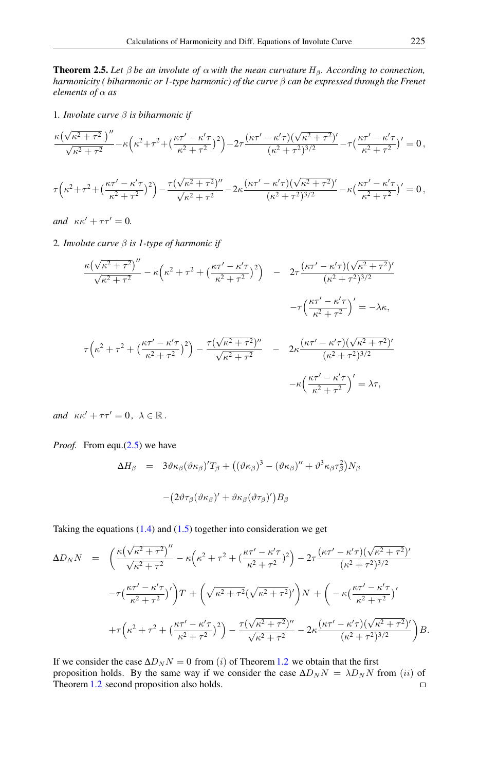<span id="page-9-0"></span>**Theorem 2.5.** Let  $\beta$  be an involute of  $\alpha$  with the mean curvature  $H_{\beta}$ . According to connection, *harmonicity ( biharmonic or 1-type harmonic) of the curve* β *can be expressed through the Frenet elements of* α *as*

1*. Involute curve* β *is biharmonic if*

$$
\frac{\kappa(\sqrt{\kappa^2+\tau^2})''}{\sqrt{\kappa^2+\tau^2}} - \kappa(\kappa^2+\tau^2+(\frac{\kappa\tau'-\kappa'\tau}{\kappa^2+\tau^2})^2) - 2\tau\frac{(\kappa\tau'-\kappa'\tau)(\sqrt{\kappa^2+\tau^2})'}{(\kappa^2+\tau^2)^{3/2}} - \tau(\frac{\kappa\tau'-\kappa'\tau}{\kappa^2+\tau^2})' = 0,
$$
  

$$
\tau(\kappa^2+\tau^2+(\frac{\kappa\tau'-\kappa'\tau}{\kappa^2+\tau^2})^2) - \frac{\tau(\sqrt{\kappa^2+\tau^2})''}{\sqrt{\kappa^2+\tau^2}} - 2\kappa\frac{(\kappa\tau'-\kappa'\tau)(\sqrt{\kappa^2+\tau^2})'}{(\kappa^2+\tau^2)^{3/2}} - \kappa(\frac{\kappa\tau'-\kappa'\tau}{\kappa^2+\tau^2})' = 0,
$$

*and*  $\kappa \kappa' + \tau \tau' = 0$ .

2*. Involute curve* β *is 1-type of harmonic if*

$$
\frac{\kappa(\sqrt{\kappa^{2}+\tau^{2}})''}{\sqrt{\kappa^{2}+\tau^{2}}} - \kappa(\kappa^{2}+\tau^{2}+(\frac{\kappa\tau'-\kappa'\tau}{\kappa^{2}+\tau^{2}})^{2}) - 2\tau\frac{(\kappa\tau'-\kappa'\tau)(\sqrt{\kappa^{2}+\tau^{2}})'}{(\kappa^{2}+\tau^{2})^{3/2}} - \tau\left(\frac{\kappa\tau'-\kappa'\tau}{\kappa^{2}+\tau^{2}}\right)' = -\lambda\kappa,
$$
  

$$
\tau(\kappa^{2}+\tau^{2}+(\frac{\kappa\tau'-\kappa'\tau}{\kappa^{2}+\tau^{2}})^{2}) - \frac{\tau(\sqrt{\kappa^{2}+\tau^{2}})''}{\sqrt{\kappa^{2}+\tau^{2}}} - 2\kappa\frac{(\kappa\tau'-\kappa'\tau)(\sqrt{\kappa^{2}+\tau^{2}})'}{(\kappa^{2}+\tau^{2})^{3/2}} - \kappa\left(\frac{\kappa\tau'-\kappa'\tau}{\kappa^{2}+\tau^{2}}\right)' = \lambda\tau,
$$

*and*  $\kappa \kappa' + \tau \tau' = 0, \ \lambda \in \mathbb{R}$ .

*Proof.* From equ.[\(2.5\)](#page-7-1) we have

$$
\Delta H_{\beta} = 3\vartheta \kappa_{\beta} (\vartheta \kappa_{\beta})' T_{\beta} + ((\vartheta \kappa_{\beta})^3 - (\vartheta \kappa_{\beta})'' + \vartheta^3 \kappa_{\beta} \tau_{\beta}^2) N_{\beta}
$$

$$
- (2\vartheta \tau_{\beta} (\vartheta \kappa_{\beta})' + \vartheta \kappa_{\beta} (\vartheta \tau_{\beta})') B_{\beta}
$$

Taking the equations  $(1.4)$  and  $(1.5)$  together into consideration we get

$$
\Delta D_N N = \left( \frac{\kappa (\sqrt{\kappa^2 + \tau^2})^{\prime \prime}}{\sqrt{\kappa^2 + \tau^2}} - \kappa (\kappa^2 + \tau^2 + (\frac{\kappa \tau' - \kappa' \tau}{\kappa^2 + \tau^2})^2) - 2\tau \frac{(\kappa \tau' - \kappa' \tau)(\sqrt{\kappa^2 + \tau^2})^{\prime}}{(\kappa^2 + \tau^2)^{3/2}} \right. \\
\left. - \tau \left( \frac{\kappa \tau' - \kappa' \tau}{\kappa^2 + \tau^2} \right)^{\prime} \right) T + \left( \sqrt{\kappa^2 + \tau^2} (\sqrt{\kappa^2 + \tau^2})^{\prime} \right) N + \left( -\kappa \left( \frac{\kappa \tau' - \kappa' \tau}{\kappa^2 + \tau^2} \right)^{\prime} \right. \\
\left. + \tau \left( \kappa^2 + \tau^2 + \left( \frac{\kappa \tau' - \kappa' \tau}{\kappa^2 + \tau^2} \right)^2 \right) - \frac{\tau (\sqrt{\kappa^2 + \tau^2})^{\prime \prime}}{\sqrt{\kappa^2 + \tau^2}} - 2\kappa \frac{(\kappa \tau' - \kappa' \tau)(\sqrt{\kappa^2 + \tau^2})^{\prime}}{(\kappa^2 + \tau^2)^{3/2}} \right) B.
$$

If we consider the case  $\Delta D_N N = 0$  from (i) of Theorem [1.2](#page-1-4) we obtain that the first proposition holds. By the same way if we consider the case  $\Delta D_N N = \lambda D_N N$  from (ii) of Theorem [1.2](#page-1-4) second proposition also holds. $\Box$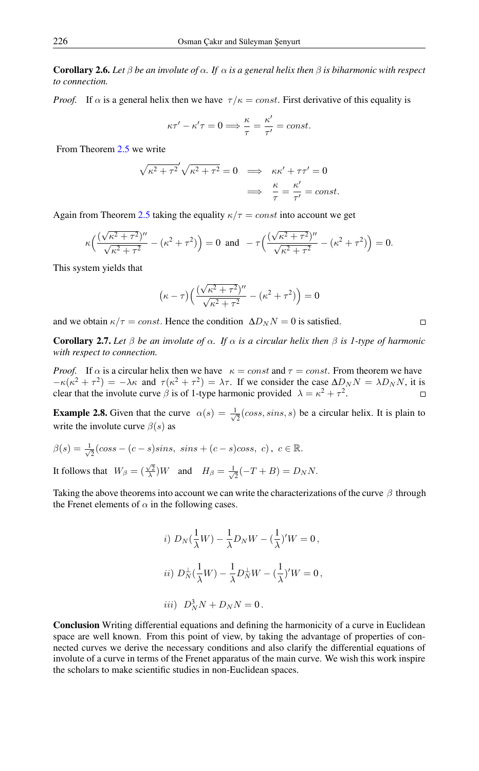**Corollary 2.6.** Let  $\beta$  be an involute of  $\alpha$ . If  $\alpha$  is a general helix then  $\beta$  is biharmonic with respect *to connection.*

*Proof.* If  $\alpha$  is a general helix then we have  $\tau/\kappa = const.$  First derivative of this equality is

$$
\kappa \tau' - \kappa' \tau = 0 \Longrightarrow \frac{\kappa}{\tau} = \frac{\kappa'}{\tau'} = const.
$$

From Theorem [2.5](#page-9-0) we write

$$
\sqrt{\kappa^2 + \tau^2} \sqrt{\kappa^2 + \tau^2} = 0 \implies \kappa \kappa' + \tau \tau' = 0
$$
  

$$
\implies \frac{\kappa}{\tau} = \frac{\kappa'}{\tau'} = const.
$$

Again from Theorem [2.5](#page-9-0) taking the equality  $\kappa/\tau = const$  into account we get

$$
\kappa \Big( \frac{(\sqrt{\kappa^2 + \tau^2})^{\prime \prime}}{\sqrt{\kappa^2 + \tau^2}} - (\kappa^2 + \tau^2) \Big) = 0 \text{ and } -\tau \Big( \frac{(\sqrt{\kappa^2 + \tau^2})^{\prime \prime}}{\sqrt{\kappa^2 + \tau^2}} - (\kappa^2 + \tau^2) \Big) = 0.
$$

This system yields that

$$
(\kappa - \tau) \left( \frac{(\sqrt{\kappa^2 + \tau^2})^{\prime\prime}}{\sqrt{\kappa^2 + \tau^2}} - (\kappa^2 + \tau^2) \right) = 0
$$

 $\Box$ 

and we obtain  $\kappa/\tau = const.$  Hence the condition  $\Delta D_N N = 0$  is satisfied.

Corollary 2.7. *Let* β *be an involute of* α*. If* α *is a circular helix then* β *is 1-type of harmonic with respect to connection.*

*Proof.* If  $\alpha$  is a circular helix then we have  $\kappa = const$  and  $\tau = const$ . From theorem we have  $-\kappa(\kappa^2 + \tau^2) = -\lambda\kappa$  and  $\tau(\kappa^2 + \tau^2) = \lambda\tau$ . If we consider the case  $\Delta D_N N = \lambda D_N N$ , it is clear that the involute curve  $\beta$  is of 1-type harmonic provided  $\lambda = \kappa^2 + \tau^2$ .  $\Box$ 

**Example 2.8.** Given that the curve  $\alpha(s) = \frac{1}{s}$  $\overline{z}$ (coss, sins, s) be a circular helix. It is plain to write the involute curve  $\beta(s)$  as

$$
\beta(s) = \frac{1}{\sqrt{2}}(\cos s - (c - s)\sin s, \ \sin s + (c - s)\cos s, \ c), \ c \in \mathbb{R}.
$$
  
It follows that  $W_{\beta} = (\frac{\sqrt{2}}{\lambda})W$  and  $H_{\beta} = \frac{1}{\sqrt{2}}(-T + B) = D_N N$ .

Taking the above theorems into account we can write the characterizations of the curve  $\beta$  through the Frenet elements of  $\alpha$  in the following cases.

*i)* 
$$
D_N(\frac{1}{\lambda}W) - \frac{1}{\lambda}D_NW - (\frac{1}{\lambda})'W = 0,
$$
  
\n*ii)*  $D_N^{\perp}(\frac{1}{\lambda}W) - \frac{1}{\lambda}D_N^{\perp}W - (\frac{1}{\lambda})'W = 0,$   
\n*iii)*  $D_N^3N + D_NN = 0.$ 

Conclusion Writing differential equations and defining the harmonicity of a curve in Euclidean space are well known. From this point of view, by taking the advantage of properties of connected curves we derive the necessary conditions and also clarify the differential equations of involute of a curve in terms of the Frenet apparatus of the main curve. We wish this work inspire the scholars to make scientific studies in non-Euclidean spaces.